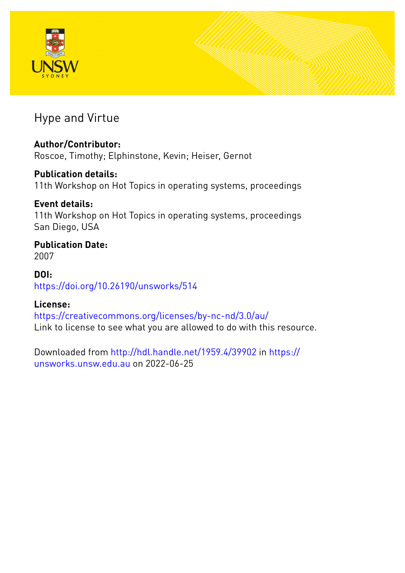



# Hype and Virtue

# **Author/Contributor:**

Roscoe, Timothy; Elphinstone, Kevin; Heiser, Gernot

# **Publication details:**

11th Workshop on Hot Topics in operating systems, proceedings

# **Event details:**

11th Workshop on Hot Topics in operating systems, proceedings San Diego, USA

# **Publication Date:** 2007

**DOI:** [https://doi.org/10.26190/unsworks/514](http://dx.doi.org/https://doi.org/10.26190/unsworks/514)

# **License:**

<https://creativecommons.org/licenses/by-nc-nd/3.0/au/> Link to license to see what you are allowed to do with this resource.

Downloaded from <http://hdl.handle.net/1959.4/39902> in [https://](https://unsworks.unsw.edu.au) [unsworks.unsw.edu.au](https://unsworks.unsw.edu.au) on 2022-06-25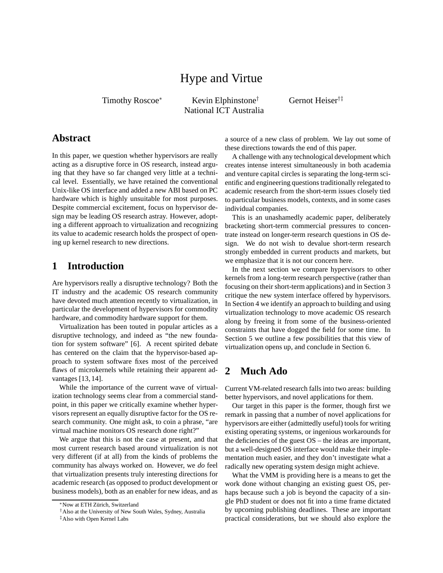# Hype and Virtue

Timothy Roscoe<sup>∗</sup> Kevin Elphinstone<sup>†</sup> National ICT Australia Gernot Heiser†‡

## **Abstract**

In this paper, we question whether hypervisors are really acting as a disruptive force in OS research, instead arguing that they have so far changed very little at a technical level. Essentially, we have retained the conventional Unix-like OS interface and added a new ABI based on PC hardware which is highly unsuitable for most purposes. Despite commercial excitement, focus on hypervisor design may be leading OS research astray. However, adopting a different approach to virtualization and recognizing its value to academic research holds the prospect of opening up kernel research to new directions.

# **1 Introduction**

Are hypervisors really a disruptive technology? Both the IT industry and the academic OS research community have devoted much attention recently to virtualization, in particular the development of hypervisors for commodity hardware, and commodity hardware support for them.

Virtualization has been touted in popular articles as a disruptive technology, and indeed as "the new foundation for system software" [6]. A recent spirited debate has centered on the claim that the hypervisor-based approach to system software fixes most of the perceived flaws of microkernels while retaining their apparent advantages [13, 14].

While the importance of the current wave of virtualization technology seems clear from a commercial standpoint, in this paper we critically examine whether hypervisors represent an equally disruptive factor for the OS research community. One might ask, to coin a phrase, "are virtual machine monitors OS research done right?"

We argue that this is not the case at present, and that most current research based around virtualization is not very different (if at all) from the kinds of problems the community has always worked on. However, we *do* feel that virtualization presents truly interesting directions for academic research (as opposed to product development or business models), both as an enabler for new ideas, and as a source of a new class of problem. We lay out some of these directions towards the end of this paper.

A challenge with any technological development which creates intense interest simultaneously in both academia and venture capital circles is separating the long-term scientific and engineering questions traditionally relegated to academic research from the short-term issues closely tied to particular business models, contexts, and in some cases individual companies.

This is an unashamedly academic paper, deliberately bracketing short-term commercial pressures to concentrate instead on longer-term research questions in OS design. We do not wish to devalue short-term research strongly embedded in current products and markets, but we emphasize that it is not our concern here.

In the next section we compare hypervisors to other kernels from a long-term research perspective (rather than focusing on their short-term applications) and in Section 3 critique the new system interface offered by hypervisors. In Section 4 we identify an approach to building and using virtualization technology to move academic OS research along by freeing it from some of the business-oriented constraints that have dogged the field for some time. In Section 5 we outline a few possibilities that this view of virtualization opens up, and conclude in Section 6.

# **2 Much Ado**

Current VM-related research falls into two areas: building better hypervisors, and novel applications for them.

Our target in this paper is the former, though first we remark in passing that a number of novel applications for hypervisors are either (admittedly useful) tools for writing existing operating systems, or ingenious workarounds for the deficiencies of the guest OS – the ideas are important, but a well-designed OS interface would make their implementation much easier, and they don't investigate what a radically new operating system design might achieve.

What the VMM is providing here is a means to get the work done without changing an existing guest OS, perhaps because such a job is beyond the capacity of a single PhD student or does not fit into a time frame dictated by upcoming publishing deadlines. These are important practical considerations, but we should also explore the

<sup>∗</sup>Now at ETH Z¨urich, Switzerland

<sup>†</sup>Also at the University of New South Wales, Sydney, Australia

<sup>‡</sup>Also with Open Kernel Labs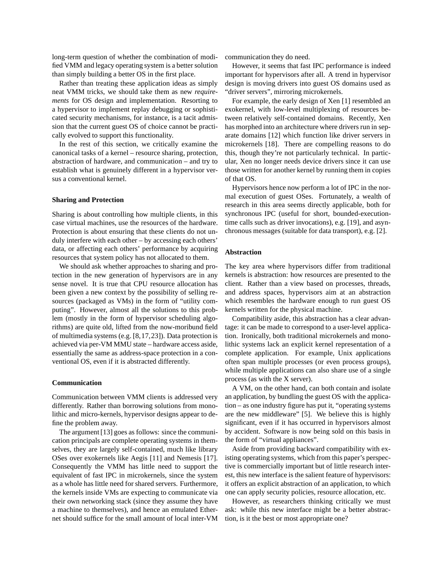long-term question of whether the combination of modified VMM and legacy operating system is a better solution than simply building a better OS in the first place.

Rather than treating these application ideas as simply neat VMM tricks, we should take them as new *requirements* for OS design and implementation. Resorting to a hypervisor to implement replay debugging or sophisticated security mechanisms, for instance, is a tacit admission that the current guest OS of choice cannot be practically evolved to support this functionality.

In the rest of this section, we critically examine the canonical tasks of a kernel – resource sharing, protection, abstraction of hardware, and communication – and try to establish what is genuinely different in a hypervisor versus a conventional kernel.

#### **Sharing and Protection**

Sharing is about controlling how multiple clients, in this case virtual machines, use the resources of the hardware. Protection is about ensuring that these clients do not unduly interfere with each other – by accessing each others' data, or affecting each others' performance by acquiring resources that system policy has not allocated to them.

We should ask whether approaches to sharing and protection in the new generation of hypervisors are in any sense novel. It is true that CPU resource allocation has been given a new context by the possibility of selling resources (packaged as VMs) in the form of "utility computing". However, almost all the solutions to this problem (mostly in the form of hypervisor scheduling algorithms) are quite old, lifted from the now-moribund field of multimedia systems (e.g. [8,17,23]). Data protection is achieved via per-VM MMU state – hardware access aside, essentially the same as address-space protection in a conventional OS, even if it is abstracted differently.

#### **Communication**

Communication between VMM clients is addressed very differently. Rather than borrowing solutions from monolithic and micro-kernels, hypervisor designs appear to define the problem away.

The argument [13] goes as follows: since the communication principals are complete operating systems in themselves, they are largely self-contained, much like library OSes over exokernels like Aegis [11] and Nemesis [17]. Consequently the VMM has little need to support the equivalent of fast IPC in microkernels, since the system as a whole has little need for shared servers. Furthermore, the kernels inside VMs are expecting to communicate via their own networking stack (since they assume they have a machine to themselves), and hence an emulated Ethernet should suffice for the small amount of local inter-VM communication they do need.

However, it seems that fast IPC performance is indeed important for hypervisors after all. A trend in hypervisor design is moving drivers into guest OS domains used as "driver servers", mirroring microkernels.

For example, the early design of Xen [1] resembled an exokernel, with low-level multiplexing of resources between relatively self-contained domains. Recently, Xen has morphed into an architecture where drivers run in separate domains [12] which function like driver servers in microkernels [18]. There are compelling reasons to do this, though they're not particularly technical. In particular, Xen no longer needs device drivers since it can use those written for another kernel by running them in copies of that OS.

Hypervisors hence now perform a lot of IPC in the normal execution of guest OSes. Fortunately, a wealth of research in this area seems directly applicable, both for synchronous IPC (useful for short, bounded-executiontime calls such as driver invocations), e.g. [19], and asynchronous messages (suitable for data transport), e.g. [2].

#### **Abstraction**

The key area where hypervisors differ from traditional kernels is abstraction: how resources are presented to the client. Rather than a view based on processes, threads, and address spaces, hypervisors aim at an abstraction which resembles the hardware enough to run guest OS kernels written for the physical machine.

Compatibility aside, this abstraction has a clear advantage: it can be made to correspond to a user-level application. Ironically, both traditional microkernels and monolithic systems lack an explicit kernel representation of a complete application. For example, Unix applications often span multiple processes (or even process groups), while multiple applications can also share use of a single process (as with the X server).

A VM, on the other hand, can both contain and isolate an application, by bundling the guest OS with the application – as one industry figure has put it, "operating systems are the new middleware" [5]. We believe this is highly significant, even if it has occurred in hypervisors almost by accident. Software is now being sold on this basis in the form of "virtual appliances".

Aside from providing backward compatibility with existing operating systems, which from this paper's perspective is commercially important but of little research interest, this new interface is the salient feature of hypervisors: it offers an explicit abstraction of an application, to which one can apply security policies, resource allocation, etc.

However, as researchers thinking critically we must ask: while this new interface might be a better abstraction, is it the best or most appropriate one?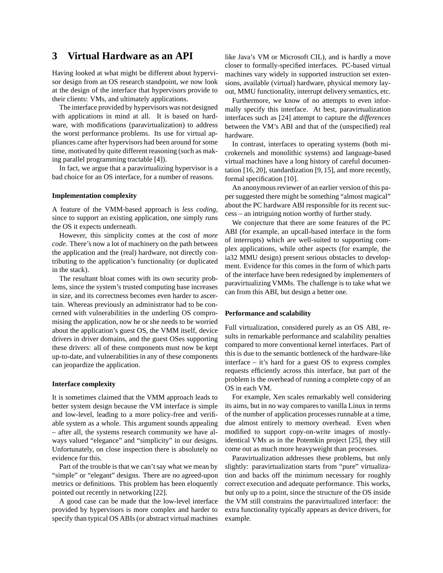## **3 Virtual Hardware as an API**

Having looked at what might be different about hypervisor design from an OS research standpoint, we now look at the design of the interface that hypervisors provide to their clients: VMs, and ultimately applications.

The interface provided by hypervisors was not designed with applications in mind at all. It is based on hardware, with modifications (paravirtualization) to address the worst performance problems. Its use for virtual appliances came after hypervisors had been around for some time, motivated by quite different reasoning (such as making parallel programming tractable [4]).

In fact, we argue that a paravirtualizing hypervisor is a bad choice for an OS interface, for a number of reasons.

#### **Implementation complexity**

A feature of the VMM-based approach is *less coding*, since to support an existing application, one simply runs the OS it expects underneath.

However, this simplicity comes at the cost of *more code*. There's now a lot of machinery on the path between the application and the (real) hardware, not directly contributing to the application's functionality (or duplicated in the stack).

The resultant bloat comes with its own security problems, since the system's trusted computing base increases in size, and its correctness becomes even harder to ascertain. Whereas previously an administrator had to be concerned with vulnerabilities in the underling OS compromising the application, now he or she needs to be worried about the application's guest OS, the VMM itself, device drivers in driver domains, and the guest OSes supporting these drivers: all of these components must now be kept up-to-date, and vulnerabilities in any of these components can jeopardize the application.

#### **Interface complexity**

It is sometimes claimed that the VMM approach leads to better system design because the VM interface is simple and low-level, leading to a more policy-free and verifiable system as a whole. This argument sounds appealing – after all, the systems research community we have always valued "elegance" and "simplicity" in our designs. Unfortunately, on close inspection there is absolutely no evidence for this.

Part of the trouble is that we can't say what we mean by "simple" or "elegant" designs. There are no agreed-upon metrics or definitions. This problem has been eloquently pointed out recently in networking [22].

A good case can be made that the low-level interface provided by hypervisors is more complex and harder to specify than typical OS ABIs (or abstract virtual machines like Java's VM or Microsoft CIL), and is hardly a move closer to formally-specified interfaces. PC-based virtual machines vary widely in supported instruction set extensions, available (virtual) hardware, physical memory layout, MMU functionality, interrupt delivery semantics, etc.

Furthermore, we know of no attempts to even informally specify this interface. At best, paravirtualization interfaces such as [24] attempt to capture the *differences* between the VM's ABI and that of the (unspecified) real hardware.

In contrast, interfaces to operating systems (both microkernels and monolithic systems) and language-based virtual machines have a long history of careful documentation [16, 20], standardization [9, 15], and more recently, formal specification [10].

An anonymous reviewer of an earlier version of this paper suggested there might be something "almost magical" about the PC hardware ABI responsible for its recent success – an intriguing notion worthy of further study.

We conjecture that there are some features of the PC ABI (for example, an upcall-based interface in the form of interrupts) which are well-suited to supporting complex applications, while other aspects (for example, the ia32 MMU design) present serious obstacles to development. Evidence for this comes in the form of which parts of the interface have been redesigned by implementers of paravirtualizing VMMs. The challenge is to take what we can from this ABI, but design a better one.

#### **Performance and scalability**

Full virtualization, considered purely as an OS ABI, results in remarkable performance and scalability penalties compared to more conventional kernel interfaces. Part of this is due to the semantic bottleneck of the hardware-like interface – it's hard for a guest OS to express complex requests efficiently across this interface, but part of the problem is the overhead of running a complete copy of an OS in each VM.

For example, Xen scales remarkably well considering its aims, but in no way compares to vanilla Linux in terms of the number of application processes runnable at a time, due almost entirely to memory overhead. Even when modified to support copy-on-write images of mostlyidentical VMs as in the Potemkin project [25], they still come out as much more heavyweight than processes.

Paravirtualization addresses these problems, but only slightly: paravirtualization starts from "pure" virtualization and backs off the minimum necessary for roughly correct execution and adequate performance. This works, but only up to a point, since the structure of the OS inside the VM still constrains the paravirtualized interface: the extra functionality typically appears as device drivers, for example.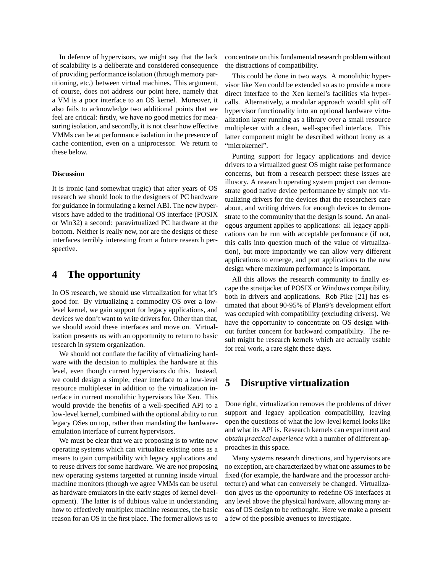In defence of hypervisors, we might say that the lack of scalability is a deliberate and considered consequence of providing performance isolation (through memory partitioning, etc.) between virtual machines. This argument, of course, does not address our point here, namely that a VM is a poor interface to an OS kernel. Moreover, it also fails to acknowledge two additional points that we feel are critical: firstly, we have no good metrics for measuring isolation, and secondly, it is not clear how effective VMMs can be at performance isolation in the presence of cache contention, even on a uniprocessor. We return to these below.

#### **Discussion**

It is ironic (and somewhat tragic) that after years of OS research we should look to the designers of PC hardware for guidance in formulating a kernel ABI. The new hypervisors have added to the traditional OS interface (POSIX or Win32) a second: paravirtualized PC hardware at the bottom. Neither is really new, nor are the designs of these interfaces terribly interesting from a future research perspective.

## **4 The opportunity**

In OS research, we should use virtualization for what it's good for. By virtualizing a commodity OS over a lowlevel kernel, we gain support for legacy applications, and devices we don't want to write drivers for. Other than that, we should avoid these interfaces and move on. Virtualization presents us with an opportunity to return to basic research in system organization.

We should not conflate the facility of virtualizing hardware with the decision to multiplex the hardware at this level, even though current hypervisors do this. Instead, we could design a simple, clear interface to a low-level resource multiplexer in addition to the virtualization interface in current monolithic hypervisors like Xen. This would provide the benefits of a well-specified API to a low-level kernel, combined with the optional ability to run legacy OSes on top, rather than mandating the hardwareemulation interface of current hypervisors.

We must be clear that we are proposing is to write new operating systems which can virtualize existing ones as a means to gain compatibility with legacy applications and to reuse drivers for some hardware. We are *not* proposing new operating systems targetted at running inside virtual machine monitors (though we agree VMMs can be useful as hardware emulators in the early stages of kernel development). The latter is of dubious value in understanding how to effectively multiplex machine resources, the basic reason for an OS in the first place. The former allows us to concentrate on this fundamental research problem without the distractions of compatibility.

This could be done in two ways. A monolithic hypervisor like Xen could be extended so as to provide a more direct interface to the Xen kernel's facilities via hypercalls. Alternatively, a modular approach would split off hypervisor functionality into an optional hardware virtualization layer running as a library over a small resource multiplexer with a clean, well-specified interface. This latter component might be described without irony as a "microkernel".

Punting support for legacy applications and device drivers to a virtualized guest OS might raise performance concerns, but from a research perspect these issues are illusory. A research operating system project can demonstrate good native device performance by simply not virtualizing drivers for the devices that the researchers care about, and writing drivers for enough devices to demonstrate to the community that the design is sound. An analogous argument applies to applications: all legacy applications can be run with acceptable performance (if not, this calls into question much of the value of virtualization), but more importantly we can allow very different applications to emerge, and port applications to the new design where maximum performance is important.

All this allows the research community to finally escape the straitjacket of POSIX or Windows compatibility, both in drivers and applications. Rob Pike [21] has estimated that about 90-95% of Plan9's development effort was occupied with compatibility (excluding drivers). We have the opportunity to concentrate on OS design without further concern for backward compatibility. The result might be research kernels which are actually usable for real work, a rare sight these days.

## **5 Disruptive virtualization**

Done right, virtualization removes the problems of driver support and legacy application compatibility, leaving open the questions of what the low-level kernel looks like and what its API is. Research kernels can experiment and *obtain practical experience* with a number of different approaches in this space.

Many systems research directions, and hypervisors are no exception, are characterized by what one assumes to be fixed (for example, the hardware and the processor architecture) and what can conversely be changed. Virtualization gives us the opportunity to redefine OS interfaces at any level above the physical hardware, allowing many areas of OS design to be rethought. Here we make a present a few of the possible avenues to investigate.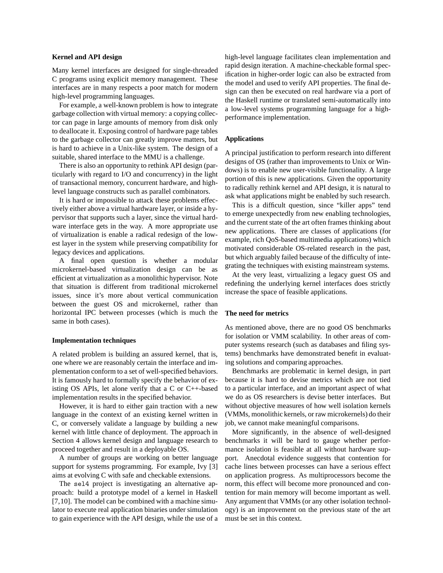#### **Kernel and API design**

Many kernel interfaces are designed for single-threaded C programs using explicit memory management. These interfaces are in many respects a poor match for modern high-level programming languages.

For example, a well-known problem is how to integrate garbage collection with virtual memory: a copying collector can page in large amounts of memory from disk only to deallocate it. Exposing control of hardware page tables to the garbage collector can greatly improve matters, but is hard to achieve in a Unix-like system. The design of a suitable, shared interface to the MMU is a challenge.

There is also an opportunity to rethink API design (particularly with regard to I/O and concurrency) in the light of transactional memory, concurrent hardware, and highlevel language constructs such as parallel combinators.

It is hard or impossible to attack these problems effectively either above a virtual hardware layer, or inside a hypervisor that supports such a layer, since the virtual hardware interface gets in the way. A more appropriate use of virtualization is enable a radical redesign of the lowest layer in the system while preserving compatibility for legacy devices and applications.

A final open question is whether a modular microkernel-based virtualization design can be as efficient at virtualization as a monolithic hypervisor. Note that situation is different from traditional microkernel issues, since it's more about vertical communication between the guest OS and microkernel, rather than horizontal IPC between processes (which is much the same in both cases).

#### **Implementation techniques**

A related problem is building an assured kernel, that is, one where we are reasonably certain the interface and implementation conform to a set of well-specified behaviors. It is famously hard to formally specify the behavior of existing OS APIs, let alone verify that a C or C++-based implementation results in the specified behavior.

However, it is hard to either gain traction with a new language in the context of an existing kernel written in C, or conversely validate a language by building a new kernel with little chance of deployment. The approach in Section 4 allows kernel design and language research to proceed together and result in a deployable OS.

A number of groups are working on better language support for systems programming. For example, Ivy [3] aims at evolving C with safe and checkable extensions.

The sel4 project is investigating an alternative approach: build a prototype model of a kernel in Haskell [7,10]. The model can be combined with a machine simulator to execute real application binaries under simulation to gain experience with the API design, while the use of a high-level language facilitates clean implementation and rapid design iteration. A machine-checkable formal specification in higher-order logic can also be extracted from the model and used to verify API properties. The final design can then be executed on real hardware via a port of the Haskell runtime or translated semi-automatically into a low-level systems programming language for a highperformance implementation.

#### **Applications**

A principal justification to perform research into different designs of OS (rather than improvements to Unix or Windows) is to enable new user-visible functionality. A large portion of this is new applications. Given the opportunity to radically rethink kernel and API design, it is natural to ask what applications might be enabled by such research.

This is a difficult question, since "killer apps" tend to emerge unexpectedly from new enabling technologies, and the current state of the art often frames thinking about new applications. There are classes of applications (for example, rich QoS-based multimedia applications) which motivated considerable OS-related research in the past, but which arguably failed because of the difficulty of integrating the techniques with existing mainstream systems.

At the very least, virtualizing a legacy guest OS and redefining the underlying kernel interfaces does strictly increase the space of feasible applications.

#### **The need for metrics**

As mentioned above, there are no good OS benchmarks for isolation or VMM scalability. In other areas of computer systems research (such as databases and filing systems) benchmarks have demonstrated benefit in evaluating solutions and comparing approaches.

Benchmarks are problematic in kernel design, in part because it is hard to devise metrics which are not tied to a particular interface, and an important aspect of what we do as OS researchers is devise better interfaces. But without objective measures of how well isolation kernels (VMMs, monolithic kernels, or raw microkernels) do their job, we cannot make meaningful comparisons.

More significantly, in the absence of well-designed benchmarks it will be hard to gauge whether performance isolation is feasible at all without hardware support. Anecdotal evidence suggests that contention for cache lines between processes can have a serious effect on application progress. As multiprocessors become the norm, this effect will become more pronounced and contention for main memory will become important as well. Any argument that VMMs (or any other isolation technology) is an improvement on the previous state of the art must be set in this context.